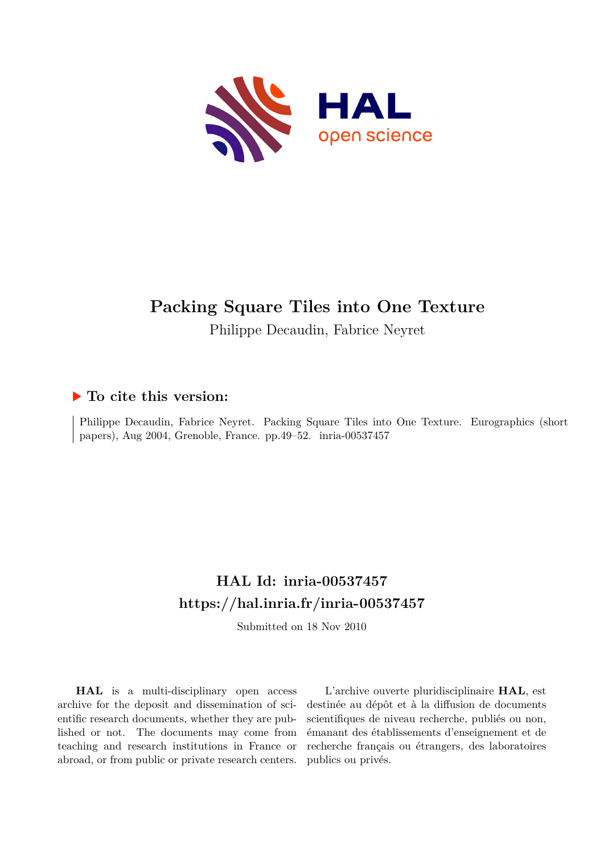<span id="page-0-0"></span>

# **Packing Square Tiles into One Texture**

Philippe Decaudin, Fabrice Neyret

## **To cite this version:**

Philippe Decaudin, Fabrice Neyret. Packing Square Tiles into One Texture. Eurographics (short papers), Aug 2004, Grenoble, France. pp.49–52. inria-00537457

# **HAL Id: inria-00537457 <https://hal.inria.fr/inria-00537457>**

Submitted on 18 Nov 2010

**HAL** is a multi-disciplinary open access archive for the deposit and dissemination of scientific research documents, whether they are published or not. The documents may come from teaching and research institutions in France or abroad, or from public or private research centers.

L'archive ouverte pluridisciplinaire **HAL**, est destinée au dépôt et à la diffusion de documents scientifiques de niveau recherche, publiés ou non, émanant des établissements d'enseignement et de recherche français ou étrangers, des laboratoires publics ou privés.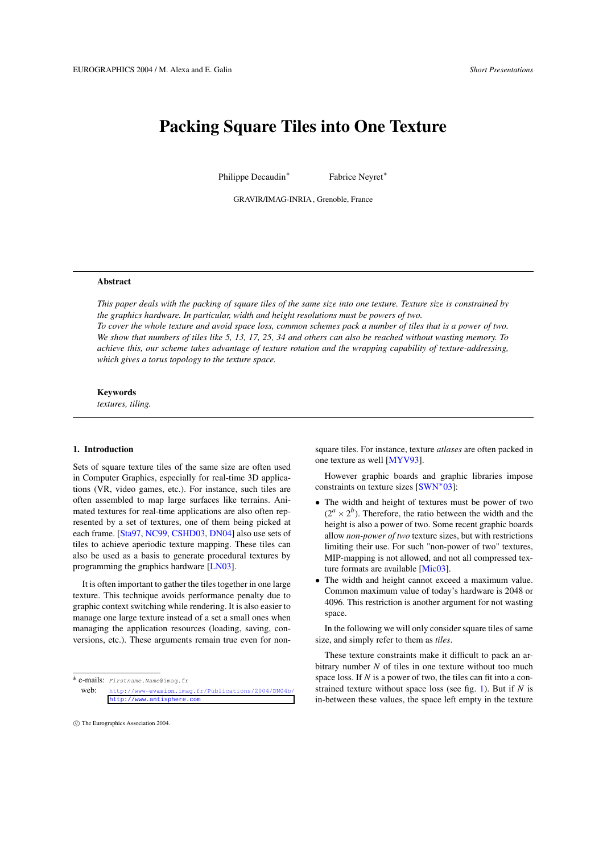## **Packing Square Tiles into One Texture**

Philippe Decaudin<sup>∗</sup>

Fabrice Neyret<sup>∗</sup>

GRAVIR/IMAG-INRIA, Grenoble, France

### **Abstract**

This paper deals with the packing of square tiles of the same size into one texture. Texture size is constrained by *the graphics hardware. In particular, width and height resolutions must be powers of two.* To cover the whole texture and avoid space loss, common schemes pack a number of tiles that is a power of two. We show that numbers of tiles like 5, 13, 17, 25, 34 and others can also be reached without wasting memory. To *achieve this, our scheme takes advantage of texture rotation and the wrapping capability of texture-addressing, which gives a torus topology to the texture space.*

## **Keywords**

*textures, tiling.*

## **1. Introduction**

Sets of square texture tiles of the same size are often used in Computer Graphics, especially for real-time 3D applications (VR, video games, etc.). For instance, such tiles are often assembled to map large surfaces like terrains. Animated textures for real-time applications are also often represented by a set of textures, one of them being picked at each frame. [\[Sta97,](#page-4-0) [NC99,](#page-4-1) [CSHD03,](#page-4-2) [DN04\]](#page-4-3) also use sets of tiles to achieve aperiodic texture mapping. These tiles can also be used as a basis to generate procedural textures by programming the graphics hardware [\[LN03\]](#page-4-4).

It is often important to gather the tiles together in one large texture. This technique avoids performance penalty due to graphic context switching while rendering. It is also easier to manage one large texture instead of a set a small ones when managing the application resources (loading, saving, conversions, etc.). These arguments remain true even for nonsquare tiles. For instance, texture *atlases* are often packed in one texture as well [\[MYV93\]](#page-4-5).

However graphic boards and graphic libraries impose constraints on texture sizes [\[SWN](#page-4-6)<sup>\*</sup>03]:

- The width and height of textures must be power of two  $(2^a \times 2^b)$ . Therefore, the ratio between the width and the height is also a power of two. Some recent graphic boards allow *non-power of two* texture sizes, but with restrictions limiting their use. For such "non-power of two" textures, MIP-mapping is not allowed, and not all compressed texture formats are available [\[Mic03\]](#page-4-7).
- The width and height cannot exceed a maximum value. Common maximum value of today's hardware is 2048 or 4096. This restriction is another argument for not wasting space.

In the following we will only consider square tiles of same size, and simply refer to them as *tiles*.

These texture constraints make it difficult to pack an arbitrary number *N* of tiles in one texture without too much space loss. If *N* is a power of two, the tiles can fit into a constrained texture without space loss (see fig. [1\)](#page-2-0). But if *N* is in-between these values, the space left empty in the texture

<sup>1</sup>\* e-mails: Firstname.Name@imag.fr

<sup>.</sup> web: http://www-evasion[.imag.fr/Publications/2004/DN04b/](http://www-evasion.imag.fr/Publications/2004/DN04b/) <http://www.antisphere.com>

c The Eurographics Association 2004.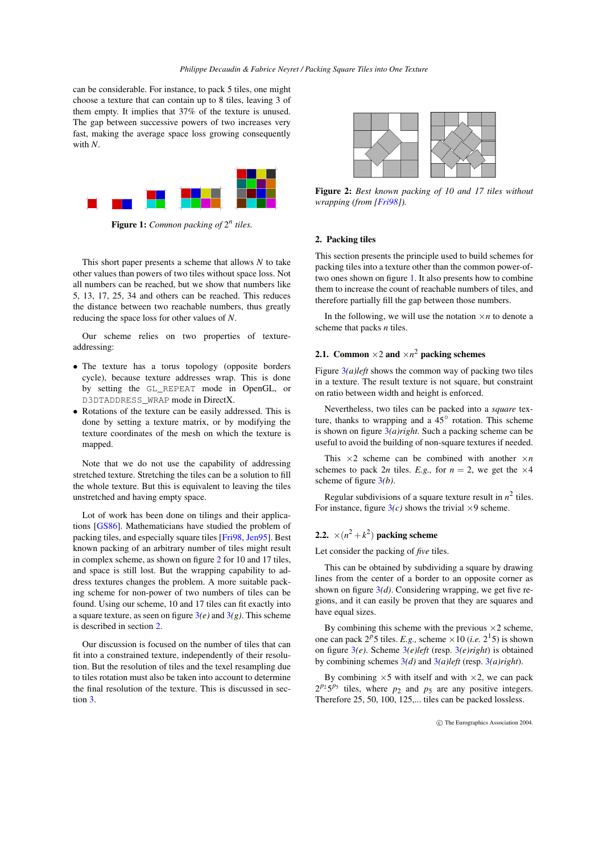<span id="page-2-3"></span>can be considerable. For instance, to pack 5 tiles, one might choose a texture that can contain up to 8 tiles, leaving 3 of them empty. It implies that 37% of the texture is unused. The gap between successive powers of two increases very fast, making the average space loss growing consequently with *N*.



**Figure 1:** *Common packing of* 2 *n tiles.*

<span id="page-2-0"></span>This short paper presents a scheme that allows *N* to take other values than powers of two tiles without space loss. Not all numbers can be reached, but we show that numbers like 5, 13, 17, 25, 34 and others can be reached. This reduces the distance between two reachable numbers, thus greatly reducing the space loss for other values of *N*.

Our scheme relies on two properties of textureaddressing:

- The texture has a torus topology (opposite borders cycle), because texture addresses wrap. This is done by setting the GL\_REPEAT mode in OpenGL, or D3DTADDRESS\_WRAP mode in DirectX.
- Rotations of the texture can be easily addressed. This is done by setting a texture matrix, or by modifying the texture coordinates of the mesh on which the texture is mapped.

Note that we do not use the capability of addressing stretched texture. Stretching the tiles can be a solution to fill the whole texture. But this is equivalent to leaving the tiles unstretched and having empty space.

Lot of work has been done on tilings and their applications [\[GS86\]](#page-4-8). Mathematicians have studied the problem of packing tiles, and especially square tiles [\[Fri98,](#page-4-9) [Jen95\]](#page-4-10). Best known packing of an arbitrary number of tiles might result in complex scheme, as shown on figure [2](#page-2-1) for 10 and 17 tiles, and space is still lost. But the wrapping capability to address textures changes the problem. A more suitable packing scheme for non-power of two numbers of tiles can be found. Using our scheme, 10 and 17 tiles can fit exactly into a square texture, as seen on figure  $3(e)$  $3(e)$  and  $3(g)$ . This scheme is described in section [2.](#page-2-2)

Our discussion is focused on the number of tiles that can fit into a constrained texture, independently of their resolution. But the resolution of tiles and the texel resampling due to tiles rotation must also be taken into account to determine the final resolution of the texture. This is discussed in section [3.](#page-4-11)



<span id="page-2-1"></span>**Figure 2:** *Best known packing of 10 and 17 tiles without wrapping (from [\[Fri98\]](#page-4-9)).*

## <span id="page-2-2"></span>**2. Packing tiles**

This section presents the principle used to build schemes for packing tiles into a texture other than the common power-oftwo ones shown on figure [1.](#page-2-0) It also presents how to combine them to increase the count of reachable numbers of tiles, and therefore partially fill the gap between those numbers.

In the following, we will use the notation  $\times n$  to denote a scheme that packs *n* tiles.

## **2.1.** Common  $\times$  2 and  $\times$ *n*<sup>2</sup> packing schemes

Figure [3](#page-3-0)*(a)left* shows the common way of packing two tiles in a texture. The result texture is not square, but constraint on ratio between width and height is enforced.

Nevertheless, two tiles can be packed into a *square* texture, thanks to wrapping and a  $45^\circ$  rotation. This scheme is shown on figure [3](#page-3-0)*(a)right*. Such a packing scheme can be useful to avoid the building of non-square textures if needed.

This  $\times 2$  scheme can be combined with another  $\times n$ schemes to pack 2*n* tiles. *E.g.*, for  $n = 2$ , we get the  $\times 4$ scheme of figure [3](#page-3-0)*(b)*.

Regular subdivisions of a square texture result in  $n^2$  tiles. For instance, figure  $3(c)$  $3(c)$  shows the trivial  $\times$ 9 scheme.

## **2.2.**  $\times$   $(n^2 + k^2)$  **packing scheme**

Let consider the packing of *five* tiles.

This can be obtained by subdividing a square by drawing lines from the center of a border to an opposite corner as shown on figure [3](#page-3-0)*(d)*. Considering wrapping, we get five regions, and it can easily be proven that they are squares and have equal sizes.

By combining this scheme with the previous  $\times$ 2 scheme, one can pack  $2^p 5$  tiles. *E.g.*, scheme  $\times 10$  (*i.e.*  $2^1 5$ ) is shown on figure [3](#page-3-0)*(e)*. Scheme [3](#page-3-0)*(e)left* (resp. [3](#page-3-0)*(e)right*) is obtained by combining schemes [3](#page-3-0)*(d)* and [3](#page-3-0)*(a)left* (resp. [3](#page-3-0)*(a)right*).

By combining  $\times$ 5 with itself and with  $\times$ 2, we can pack  $2^{p_2}5^{p_5}$  tiles, where  $p_2$  and  $p_5$  are any positive integers. Therefore 25, 50, 100, 125,... tiles can be packed lossless.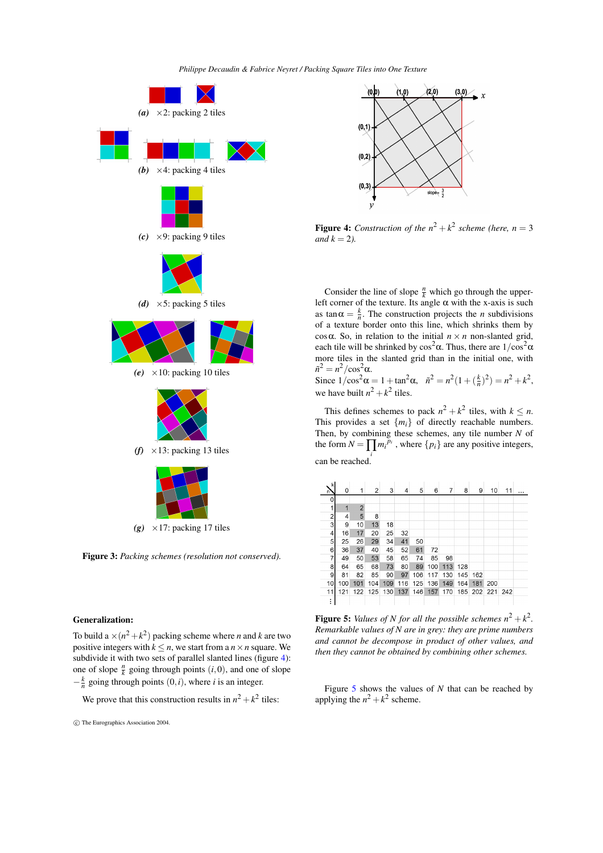*Philippe Decaudin & Fabrice Neyret / Packing Square Tiles into One Texture*



<span id="page-3-0"></span>**Figure 3:** *Packing schemes (resolution not conserved).*

## **Generalization:**

To build a  $\times (n^2 + k^2)$  packing scheme where *n* and *k* are two positive integers with  $k \leq n$ , we start from a  $n \times n$  square. We subdivide it with two sets of parallel slanted lines (figure [4\)](#page-3-1): one of slope  $\frac{n}{k}$  going through points  $(i,0)$ , and one of slope  $-\frac{k}{n}$  going through points  $(0, i)$ , where *i* is an integer.

We prove that this construction results in  $n^2 + k^2$  tiles:



<span id="page-3-1"></span>**Figure 4:** Construction of the  $n^2 + k^2$  scheme (here,  $n = 3$ *and*  $k = 2$ *).* 

Consider the line of slope  $\frac{n}{k}$  which go through the upperleft corner of the texture. Its angle  $\alpha$  with the x-axis is such as  $\tan \alpha = \frac{k}{n}$ . The construction projects the *n* subdivisions of a texture border onto this line, which shrinks them by cos $\alpha$ . So, in relation to the initial  $n \times n$  non-slanted grid, each tile will be shrinked by  $\cos^2 \alpha$ . Thus, there are  $1/\cos^2 \alpha$ more tiles in the slanted grid than in the initial one, with  $\tilde{n}^2 = n^2 / \cos^2 \alpha$ .

Since  $1/\cos^2 \alpha = 1 + \tan^2 \alpha$ ,  $\tilde{n}^2 = n^2(1 + (\frac{k}{n})^2) = n^2 + k^2$ , we have built  $n^2 + k^2$  tiles.

This defines schemes to pack  $n^2 + k^2$  tiles, with  $k \leq n$ . This provides a set  $\{m_i\}$  of directly reachable numbers. Then, by combining these schemes, any tile number *N* of the form  $N = \prod_i m_i^{\overline{p}_i}$ , where  $\{p_i\}$  are any positive integers, can be reached.

| k<br>n٦        | 0   | 1              | 2   | 3   | 4   | 5   | 6   | 7   | 8   | 9   | 10          | 11 |  |
|----------------|-----|----------------|-----|-----|-----|-----|-----|-----|-----|-----|-------------|----|--|
| 0              |     |                |     |     |     |     |     |     |     |     |             |    |  |
| 1              | 1   | $\overline{2}$ |     |     |     |     |     |     |     |     |             |    |  |
| $\overline{c}$ | 4   | 5              | 8   |     |     |     |     |     |     |     |             |    |  |
| 3              | 9   | 10             | 13  | 18  |     |     |     |     |     |     |             |    |  |
| 4              | 16  | 17             | 20  | 25  | 32  |     |     |     |     |     |             |    |  |
| 5              | 25  | 26             | 29  | 34  | 41  | 50  |     |     |     |     |             |    |  |
| 6              | 36  | 37             | 40  | 45  | 52  | 61  | 72  |     |     |     |             |    |  |
| 7              | 49  | 50             | 53  | 58  | 65  | 74  | 85  | 98  |     |     |             |    |  |
| 8              | 64  | 65             | 68  | 73  | 80  | 89  | 100 | 113 | 128 |     |             |    |  |
| 9              | 81  | 82             | 85  | 90  | 97  | 106 | 117 | 130 | 145 | 162 |             |    |  |
| 10             | 100 | 101            | 104 | 109 | 116 | 125 | 136 | 149 | 164 | 181 | 200         |    |  |
| 11             | 121 | 122            | 125 | 130 | 137 | 146 | 157 | 170 | 185 |     | 202 221 242 |    |  |
| ÷              |     |                |     |     |     |     |     |     |     |     |             |    |  |

<span id="page-3-2"></span>**Figure 5:** Values of N for all the possible schemes  $n^2 + k^2$ . *Remarkable values of N are in grey: they are prime numbers and cannot be decompose in product of other values, and then they cannot be obtained by combining other schemes.*

Figure [5](#page-3-2) shows the values of *N* that can be reached by applying the  $n^2 + k^2$  scheme.